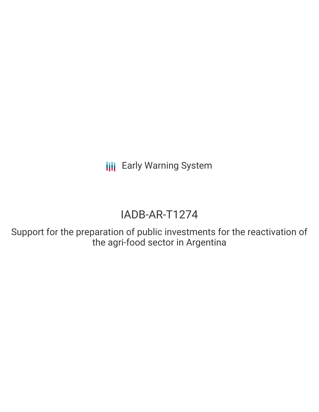**III** Early Warning System

# IADB-AR-T1274

Support for the preparation of public investments for the reactivation of the agri-food sector in Argentina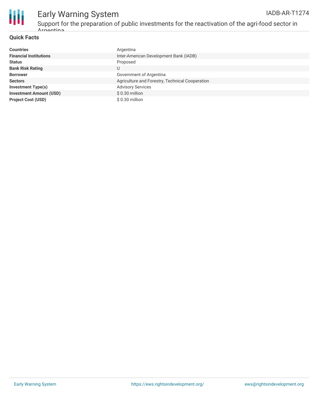

#### Early Warning System Support for the preparation of public investments for the reactivation of the agri-food sector in Argentina IADB-AR-T1274

#### **Quick Facts**

| <b>Countries</b>               | Argentina                                       |
|--------------------------------|-------------------------------------------------|
| <b>Financial Institutions</b>  | Inter-American Development Bank (IADB)          |
| <b>Status</b>                  | Proposed                                        |
| <b>Bank Risk Rating</b>        | U                                               |
| <b>Borrower</b>                | Government of Argentina                         |
| <b>Sectors</b>                 | Agriculture and Forestry, Technical Cooperation |
| <b>Investment Type(s)</b>      | <b>Advisory Services</b>                        |
| <b>Investment Amount (USD)</b> | \$0.30 million                                  |
| <b>Project Cost (USD)</b>      | \$0.30 million                                  |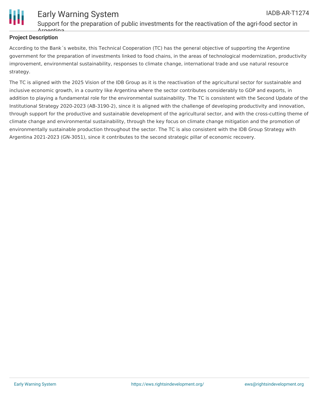

#### Early Warning System Support for the preparation of public investments for the reactivation of the agri-food sector in Argentina IADB-AR-T1274

## **Project Description**

According to the Bank´s website, this Technical Cooperation (TC) has the general objective of supporting the Argentine government for the preparation of investments linked to food chains, in the areas of technological modernization, productivity improvement, environmental sustainability, responses to climate change, international trade and use natural resource strategy.

The TC is aligned with the 2025 Vision of the IDB Group as it is the reactivation of the agricultural sector for sustainable and inclusive economic growth, in a country like Argentina where the sector contributes considerably to GDP and exports, in addition to playing a fundamental role for the environmental sustainability. The TC is consistent with the Second Update of the Institutional Strategy 2020-2023 (AB-3190-2), since it is aligned with the challenge of developing productivity and innovation, through support for the productive and sustainable development of the agricultural sector, and with the cross-cutting theme of climate change and environmental sustainability, through the key focus on climate change mitigation and the promotion of environmentally sustainable production throughout the sector. The TC is also consistent with the IDB Group Strategy with Argentina 2021-2023 (GN-3051), since it contributes to the second strategic pillar of economic recovery.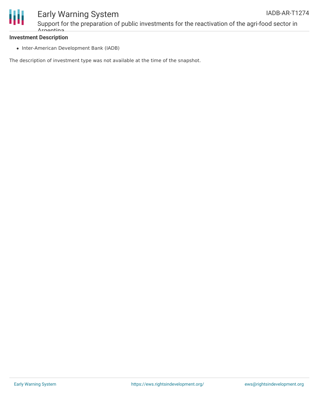

# Early Warning System

Support for the preparation of public investments for the reactivation of the agri-food sector in Argentina

#### **Investment Description**

• Inter-American Development Bank (IADB)

The description of investment type was not available at the time of the snapshot.